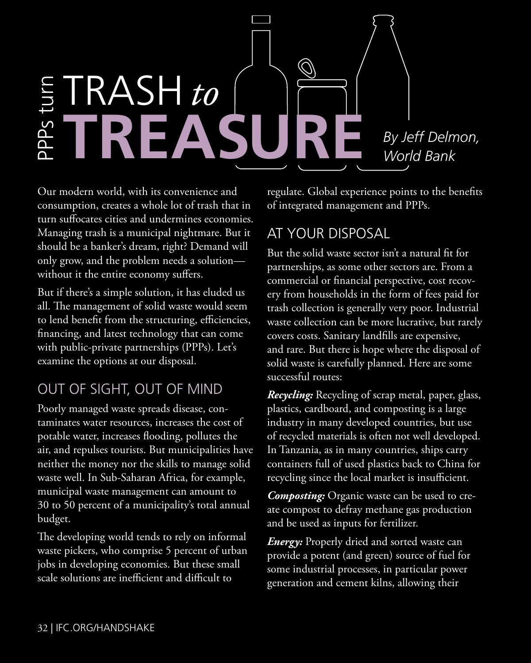

Our modern world, with its convenience and consumption, creates a whole lot of trash that in turn suffocates cities and undermines economies. Managing trash is a municipal nightmare. But it should be a banker's dream, right? Demand will only grow, and the problem needs a solution without it the entire economy suffers.

But if there's a simple solution, it has eluded us all. The management of solid waste would seem to lend benefit from the structuring, efficiencies, financing, and latest technology that can come with public-private partnerships (PPPs). Let's examine the options at our disposal.

## Out of sight, out of mind

Poorly managed waste spreads disease, contaminates water resources, increases the cost of potable water, increases flooding, pollutes the air, and repulses tourists. But municipalities have neither the money nor the skills to manage solid waste well. In Sub-Saharan Africa, for example, municipal waste management can amount to 30 to 50 percent of a municipality's total annual budget.

The developing world tends to rely on informal waste pickers, who comprise 5 percent of urban jobs in developing economies. But these small scale solutions are inefficient and difficult to

regulate. Global experience points to the benefits of integrated management and PPPs.

## AT YOUR DISPOSAL

But the solid waste sector isn't a natural fit for partnerships, as some other sectors are. From a commercial or financial perspective, cost recovery from households in the form of fees paid for trash collection is generally very poor. Industrial waste collection can be more lucrative, but rarely covers costs. Sanitary landfills are expensive, and rare. But there is hope where the disposal of solid waste is carefully planned. Here are some successful routes:

*Recycling:* Recycling of scrap metal, paper, glass, plastics, cardboard, and composting is a large industry in many developed countries, but use of recycled materials is often not well developed. In Tanzania, as in many countries, ships carry containers full of used plastics back to China for recycling since the local market is insufficient.

*Composting:* Organic waste can be used to create compost to defray methane gas production and be used as inputs for fertilizer.

*Energy:* Properly dried and sorted waste can provide a potent (and green) source of fuel for some industrial processes, in particular power generation and cement kilns, allowing their